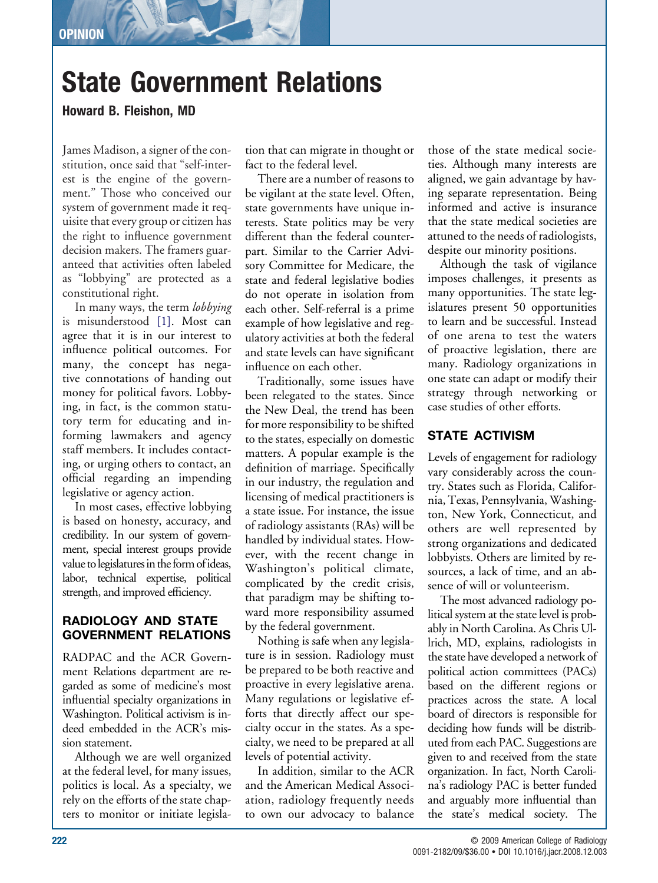# **State Government Relations**

**Howard B. Fleishon, MD**

James Madison, a signer of the constitution, once said that "self-interest is the engine of the government." Those who conceived our system of government made it requisite that every group or citizen has the right to influence government decision makers. The framers guaranteed that activities often labeled as "lobbying" are protected as a constitutional right.

In many ways, the term *lobbying* is misunderstood [\[1\].](#page-2-0) Most can agree that it is in our interest to influence political outcomes. For many, the concept has negative connotations of handing out money for political favors. Lobbying, in fact, is the common statutory term for educating and informing lawmakers and agency staff members. It includes contacting, or urging others to contact, an official regarding an impending legislative or agency action.

In most cases, effective lobbying is based on honesty, accuracy, and credibility. In our system of government, special interest groups provide value to legislatures in the form of ideas, labor, technical expertise, political strength, and improved efficiency.

### **RADIOLOGY AND STATE GOVERNMENT RELATIONS**

RADPAC and the ACR Government Relations department are regarded as some of medicine's most influential specialty organizations in Washington. Political activism is indeed embedded in the ACR's mission statement.

Although we are well organized at the federal level, for many issues, politics is local. As a specialty, we rely on the efforts of the state chapters to monitor or initiate legislation that can migrate in thought or fact to the federal level.

There are a number of reasons to be vigilant at the state level. Often, state governments have unique interests. State politics may be very different than the federal counterpart. Similar to the Carrier Advisory Committee for Medicare, the state and federal legislative bodies do not operate in isolation from each other. Self-referral is a prime example of how legislative and regulatory activities at both the federal and state levels can have significant influence on each other.

Traditionally, some issues have been relegated to the states. Since the New Deal, the trend has been for more responsibility to be shifted to the states, especially on domestic matters. A popular example is the definition of marriage. Specifically in our industry, the regulation and licensing of medical practitioners is a state issue. For instance, the issue of radiology assistants (RAs) will be handled by individual states. However, with the recent change in Washington's political climate, complicated by the credit crisis, that paradigm may be shifting toward more responsibility assumed by the federal government.

Nothing is safe when any legislature is in session. Radiology must be prepared to be both reactive and proactive in every legislative arena. Many regulations or legislative efforts that directly affect our specialty occur in the states. As a specialty, we need to be prepared at all levels of potential activity.

In addition, similar to the ACR and the American Medical Association, radiology frequently needs to own our advocacy to balance those of the state medical societies. Although many interests are aligned, we gain advantage by having separate representation. Being informed and active is insurance that the state medical societies are attuned to the needs of radiologists, despite our minority positions.

Although the task of vigilance imposes challenges, it presents as many opportunities. The state legislatures present 50 opportunities to learn and be successful. Instead of one arena to test the waters of proactive legislation, there are many. Radiology organizations in one state can adapt or modify their strategy through networking or case studies of other efforts.

# **STATE ACTIVISM**

Levels of engagement for radiology vary considerably across the country. States such as Florida, California, Texas, Pennsylvania, Washington, New York, Connecticut, and others are well represented by strong organizations and dedicated lobbyists. Others are limited by resources, a lack of time, and an absence of will or volunteerism.

The most advanced radiology political system at the state level is probably in North Carolina. As Chris Ullrich, MD, explains, radiologists in the state have developed a network of political action committees (PACs) based on the different regions or practices across the state. A local board of directors is responsible for deciding how funds will be distributed from each PAC. Suggestions are given to and received from the state organization. In fact, North Carolina's radiology PAC is better funded and arguably more influential than the state's medical society. The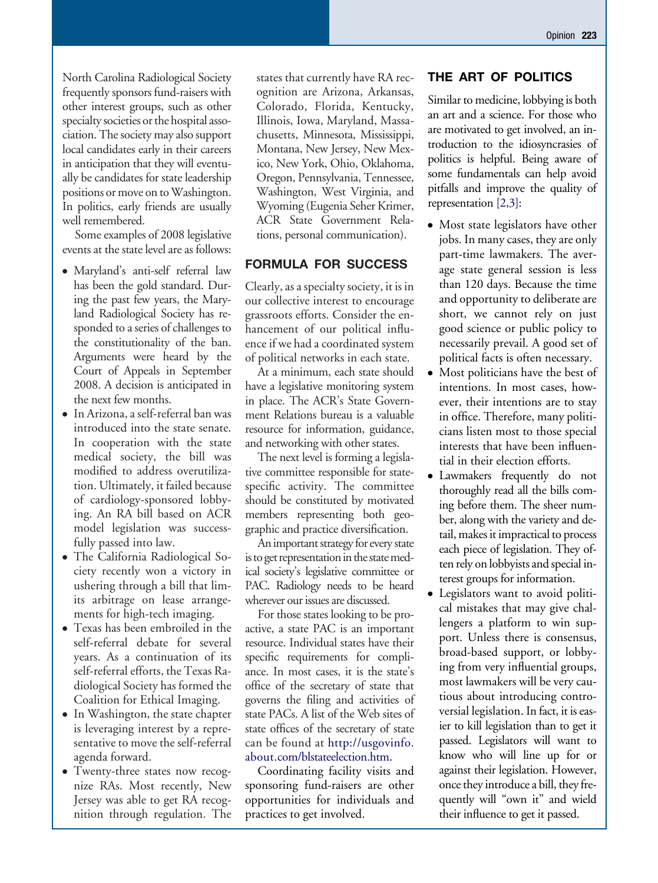North Carolina Radiological Society frequently sponsors fund-raisers with other interest groups, such as other specialty societies or the hospital association. The society may also support local candidates early in their careers in anticipation that they will eventually be candidates for state leadership positions or move on to Washington. In politics, early friends are usually well remembered.

Some examples of 2008 legislative events at the state level are as follows:

- Maryland's anti-self referral law has been the gold standard. During the past few years, the Maryland Radiological Society has responded to a series of challenges to the constitutionality of the ban. Arguments were heard by the Court of Appeals in September 2008. A decision is anticipated in the next few months.
- In Arizona, a self-referral ban was introduced into the state senate. In cooperation with the state medical society, the bill was modified to address overutilization. Ultimately, it failed because of cardiology-sponsored lobbying. An RA bill based on ACR model legislation was successfully passed into law.
- The California Radiological Society recently won a victory in ushering through a bill that limits arbitrage on lease arrangements for high-tech imaging.
- Texas has been embroiled in the self-referral debate for several years. As a continuation of its self-referral efforts, the Texas Radiological Society has formed the Coalition for Ethical Imaging.
- In Washington, the state chapter is leveraging interest by a representative to move the self-referral agenda forward.
- Twenty-three states now recognize RAs. Most recently, New Jersey was able to get RA recognition through regulation. The

states that currently have RA recognition are Arizona, Arkansas, Colorado, Florida, Kentucky, Illinois, Iowa, Maryland, Massachusetts, Minnesota, Mississippi, Montana, New Jersey, New Mexico, New York, Ohio, Oklahoma, Oregon, Pennsylvania, Tennessee, Washington, West Virginia, and Wyoming (Eugenia Seher Krimer, ACR State Government Relations, personal communication).

#### **FORMULA FOR SUCCESS**

Clearly, as a specialty society, it is in our collective interest to encourage grassroots efforts. Consider the enhancement of our political influence if we had a coordinated system of political networks in each state.

At a minimum, each state should have a legislative monitoring system in place. The ACR's State Government Relations bureau is a valuable resource for information, guidance, and networking with other states.

The next level is forming a legislative committee responsible for statespecific activity. The committee should be constituted by motivated members representing both geographic and practice diversification.

An important strategy for every state is to get representation in the state medical society's legislative committee or PAC. Radiology needs to be heard wherever our issues are discussed.

For those states looking to be proactive, a state PAC is an important resource. Individual states have their specific requirements for compliance. In most cases, it is the state's office of the secretary of state that governs the filing and activities of state PACs. A list of the Web sites of state offices of the secretary of state can be found at [http://usgovinfo.](http://usgovinfo.about.com/blstateelection.htm) [about.com/blstateelection.htm.](http://usgovinfo.about.com/blstateelection.htm)

Coordinating facility visits and sponsoring fund-raisers are other opportunities for individuals and practices to get involved.

### **THE ART OF POLITICS**

Similar to medicine, lobbying is both an art and a science. For those who are motivated to get involved, an introduction to the idiosyncrasies of politics is helpful. Being aware of some fundamentals can help avoid pitfalls and improve the quality of representation [\[2,3\]:](#page-2-0)

- Most state legislators have other jobs. In many cases, they are only part-time lawmakers. The average state general session is less than 120 days. Because the time and opportunity to deliberate are short, we cannot rely on just good science or public policy to necessarily prevail. A good set of political facts is often necessary.
- Most politicians have the best of intentions. In most cases, however, their intentions are to stay in office. Therefore, many politicians listen most to those special interests that have been influential in their election efforts.
- Lawmakers frequently do not thoroughly read all the bills coming before them. The sheer number, along with the variety and detail, makes it impractical to process each piece of legislation. They often rely on lobbyists and special interest groups for information.
- Legislators want to avoid political mistakes that may give challengers a platform to win support. Unless there is consensus, broad-based support, or lobbying from very influential groups, most lawmakers will be very cautious about introducing controversial legislation. In fact, it is easier to kill legislation than to get it passed. Legislators will want to know who will line up for or against their legislation. However, once they introduce a bill, they frequently will "own it" and wield their influence to get it passed.